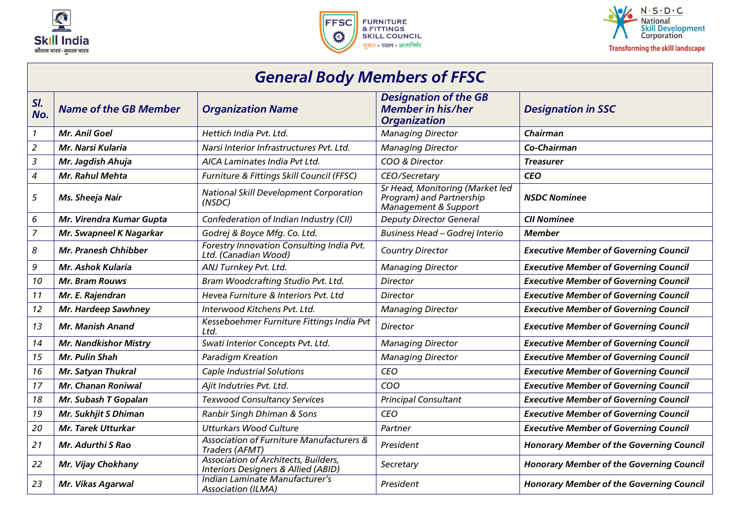





## General Body Members of FFSC

| SI.<br>No.       | <b>Name of the GB Member</b> | <b>Organization Name</b>                                                                      | <b>Designation of the GB</b><br><b>Member in his/her</b><br><b>Organization</b>     | <b>Designation in SSC</b>                       |
|------------------|------------------------------|-----------------------------------------------------------------------------------------------|-------------------------------------------------------------------------------------|-------------------------------------------------|
| $\mathbf{1}$     | Mr. Anil Goel                | Hettich India Pvt. Ltd.                                                                       | <b>Managing Director</b>                                                            | Chairman                                        |
| $\overline{a}$   | Mr. Narsi Kularia            | Narsi Interior Infrastructures Pvt. Ltd.                                                      | <b>Managing Director</b>                                                            | Co-Chairman                                     |
| 3                | Mr. Jagdish Ahuja            | AICA Laminates India Pvt Ltd.                                                                 | COO & Director                                                                      | <b>Treasurer</b>                                |
| $\boldsymbol{4}$ | Mr. Rahul Mehta              | Furniture & Fittings Skill Council (FFSC)                                                     | CEO/Secretary                                                                       | <b>CEO</b>                                      |
| 5                | Ms. Sheeja Nair              | <b>National Skill Development Corporation</b><br>(NSDC)                                       | Sr Head, Monitoring (Market led<br>Program) and Partnership<br>Management & Support | <b>NSDC Nominee</b>                             |
| 6                | Mr. Virendra Kumar Gupta     | Confederation of Indian Industry (CII)                                                        | <b>Deputy Director General</b>                                                      | <b>CII Nominee</b>                              |
| $\overline{z}$   | Mr. Swapneel K Nagarkar      | Godrej & Boyce Mfg. Co. Ltd.                                                                  | Business Head - Godrej Interio                                                      | <b>Member</b>                                   |
| 8                | <b>Mr. Pranesh Chhibber</b>  | Forestry Innovation Consulting India Pvt.<br>Ltd. (Canadian Wood)                             | <b>Country Director</b>                                                             | <b>Executive Member of Governing Council</b>    |
| 9                | <b>Mr. Ashok Kularia</b>     | ANJ Turnkey Pvt. Ltd.                                                                         | <b>Managing Director</b>                                                            | <b>Executive Member of Governing Council</b>    |
| 10               | <b>Mr. Bram Rouws</b>        | Bram Woodcrafting Studio Pvt. Ltd.                                                            | <b>Director</b>                                                                     | <b>Executive Member of Governing Council</b>    |
| 11               | Mr. E. Rajendran             | Hevea Furniture & Interiors Pvt. Ltd                                                          | <b>Director</b>                                                                     | <b>Executive Member of Governing Council</b>    |
| 12               | Mr. Hardeep Sawhney          | Interwood Kitchens Pvt. Ltd.                                                                  | <b>Managing Director</b>                                                            | <b>Executive Member of Governing Council</b>    |
| 13               | <b>Mr. Manish Anand</b>      | Kesseboehmer Furniture Fittings India Pvt<br>Ltd.                                             | <b>Director</b>                                                                     | <b>Executive Member of Governing Council</b>    |
| 14               | <b>Mr. Nandkishor Mistry</b> | Swati Interior Concepts Pvt. Ltd.                                                             | <b>Managing Director</b>                                                            | <b>Executive Member of Governing Council</b>    |
| 15               | Mr. Pulin Shah               | <b>Paradigm Kreation</b>                                                                      | <b>Managing Director</b>                                                            | <b>Executive Member of Governing Council</b>    |
| 16               | Mr. Satyan Thukral           | Caple Industrial Solutions                                                                    | <b>CEO</b>                                                                          | <b>Executive Member of Governing Council</b>    |
| 17               | <b>Mr. Chanan Roniwal</b>    | Ajit Indutries Pvt. Ltd.                                                                      | COO                                                                                 | <b>Executive Member of Governing Council</b>    |
| 18               | Mr. Subash T Gopalan         | <b>Texwood Consultancy Services</b>                                                           | <b>Principal Consultant</b>                                                         | <b>Executive Member of Governing Council</b>    |
| 19               | Mr. Sukhjit S Dhiman         | Ranbir Singh Dhiman & Sons                                                                    | <b>CEO</b>                                                                          | <b>Executive Member of Governing Council</b>    |
| 20               | <b>Mr. Tarek Utturkar</b>    | <b>Utturkars Wood Culture</b>                                                                 | Partner                                                                             | <b>Executive Member of Governing Council</b>    |
| 21               | Mr. Adurthi S Rao            | <b>Association of Furniture Manufacturers &amp;</b><br>Traders (AFMT)                         | President                                                                           | <b>Honorary Member of the Governing Council</b> |
| 22               | Mr. Vijay Chokhany           | <b>Association of Architects, Builders,</b><br><b>Interiors Designers &amp; Allied (ABID)</b> | Secretary                                                                           | <b>Honorary Member of the Governing Council</b> |
| 23               | Mr. Vikas Agarwal            | Indian Laminate Manufacturer's<br><b>Association (ILMA)</b>                                   | President                                                                           | <b>Honorary Member of the Governing Council</b> |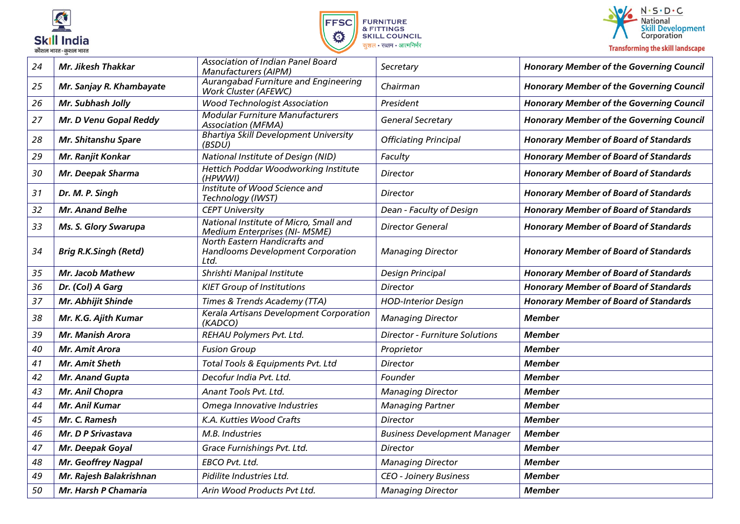





| 24 | Mr. Jikesh Thakkar           | Association of Indian Panel Board<br><b>Manufacturers (AIPM)</b>                  | Secretary                             | <b>Honorary Member of the Governing Council</b> |
|----|------------------------------|-----------------------------------------------------------------------------------|---------------------------------------|-------------------------------------------------|
| 25 | Mr. Sanjay R. Khambayate     | Aurangabad Furniture and Engineering<br><b>Work Cluster (AFEWC)</b>               | Chairman                              | <b>Honorary Member of the Governing Council</b> |
| 26 | Mr. Subhash Jolly            | <b>Wood Technologist Association</b>                                              | President                             | <b>Honorary Member of the Governing Council</b> |
| 27 | Mr. D Venu Gopal Reddy       | <b>Modular Furniture Manufacturers</b><br><b>Association (MFMA)</b>               | <b>General Secretary</b>              | <b>Honorary Member of the Governing Council</b> |
| 28 | Mr. Shitanshu Spare          | <b>Bhartiya Skill Development University</b><br>(BSDU)                            | <b>Officiating Principal</b>          | <b>Honorary Member of Board of Standards</b>    |
| 29 | Mr. Ranjit Konkar            | National Institute of Design (NID)                                                | Faculty                               | <b>Honorary Member of Board of Standards</b>    |
| 30 | Mr. Deepak Sharma            | Hettich Poddar Woodworking Institute<br>(HPWWI)                                   | <b>Director</b>                       | <b>Honorary Member of Board of Standards</b>    |
| 31 | Dr. M. P. Singh              | Institute of Wood Science and<br>Technology (IWST)                                | Director                              | <b>Honorary Member of Board of Standards</b>    |
| 32 | <b>Mr. Anand Belhe</b>       | <b>CEPT University</b>                                                            | Dean - Faculty of Design              | <b>Honorary Member of Board of Standards</b>    |
| 33 | Ms. S. Glory Swarupa         | National Institute of Micro, Small and<br>Medium Enterprises (NI- MSME)           | <b>Director General</b>               | <b>Honorary Member of Board of Standards</b>    |
| 34 | <b>Brig R.K.Singh (Retd)</b> | <b>North Eastern Handicrafts and</b><br>Handlooms Development Corporation<br>Ltd. | <b>Managing Director</b>              | <b>Honorary Member of Board of Standards</b>    |
| 35 | <b>Mr. Jacob Mathew</b>      | Shrishti Manipal Institute                                                        | Design Principal                      | <b>Honorary Member of Board of Standards</b>    |
| 36 | Dr. (Col) A Garg             | <b>KIET Group of Institutions</b>                                                 | Director                              | <b>Honorary Member of Board of Standards</b>    |
| 37 | Mr. Abhijit Shinde           | Times & Trends Academy (TTA)                                                      | <b>HOD-Interior Design</b>            | <b>Honorary Member of Board of Standards</b>    |
| 38 | Mr. K.G. Ajith Kumar         | Kerala Artisans Development Corporation<br>(KADCO)                                | <b>Managing Director</b>              | <b>Member</b>                                   |
| 39 | <b>Mr. Manish Arora</b>      | REHAU Polymers Pvt. Ltd.                                                          | <b>Director - Furniture Solutions</b> | <b>Member</b>                                   |
| 40 | Mr. Amit Arora               | <b>Fusion Group</b>                                                               | Proprietor                            | <b>Member</b>                                   |
| 41 | <b>Mr. Amit Sheth</b>        | Total Tools & Equipments Pvt. Ltd                                                 | Director                              | Member                                          |
| 42 | <b>Mr. Anand Gupta</b>       | Decofur India Pvt. Ltd.                                                           | Founder                               | <b>Member</b>                                   |
| 43 | Mr. Anil Chopra              | Anant Tools Pvt. Ltd.                                                             | <b>Managing Director</b>              | <b>Member</b>                                   |
| 44 | Mr. Anil Kumar               | Omega Innovative Industries                                                       | <b>Managing Partner</b>               | <b>Member</b>                                   |
| 45 | Mr. C. Ramesh                | K.A. Kutties Wood Crafts                                                          | Director                              | <b>Member</b>                                   |
| 46 | Mr. D P Srivastava           | M.B. Industries                                                                   | <b>Business Development Manager</b>   | <b>Member</b>                                   |
| 47 | Mr. Deepak Goyal             | Grace Furnishings Pvt. Ltd.                                                       | Director                              | <b>Member</b>                                   |
| 48 | <b>Mr. Geoffrey Nagpal</b>   | EBCO Pvt. Ltd.                                                                    | <b>Managing Director</b>              | <b>Member</b>                                   |
| 49 | Mr. Rajesh Balakrishnan      | Pidilite Industries Ltd.                                                          | <b>CEO - Joinery Business</b>         | <b>Member</b>                                   |
| 50 | Mr. Harsh P Chamaria         | Arin Wood Products Pvt Ltd.                                                       | <b>Managing Director</b>              | <b>Member</b>                                   |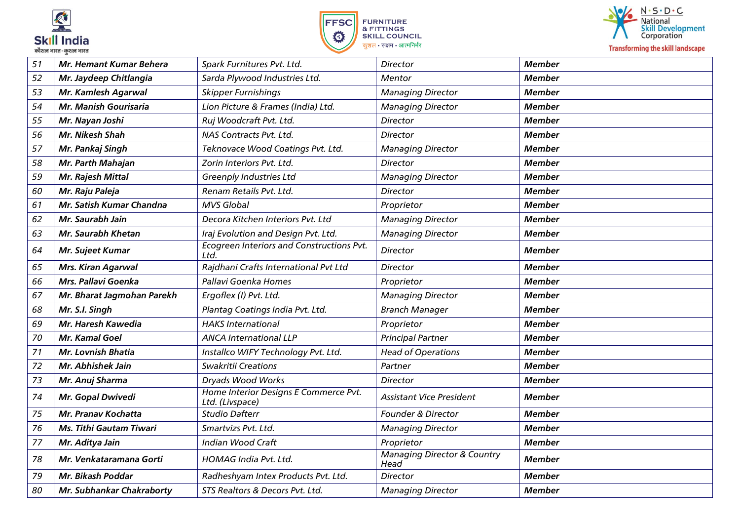





| 51 | <b>Mr. Hemant Kumar Behera</b> | Spark Furnitures Pvt. Ltd.                               | <b>Director</b>                                | <b>Member</b> |
|----|--------------------------------|----------------------------------------------------------|------------------------------------------------|---------------|
| 52 | Mr. Jaydeep Chitlangia         | Sarda Plywood Industries Ltd.                            | Mentor                                         | <b>Member</b> |
| 53 | Mr. Kamlesh Agarwal            | <b>Skipper Furnishings</b>                               | <b>Managing Director</b>                       | <b>Member</b> |
| 54 | <b>Mr. Manish Gourisaria</b>   | Lion Picture & Frames (India) Ltd.                       | <b>Managing Director</b>                       | <b>Member</b> |
| 55 | Mr. Nayan Joshi                | Ruj Woodcraft Pvt. Ltd.                                  | <b>Director</b>                                | <b>Member</b> |
| 56 | Mr. Nikesh Shah                | NAS Contracts Pvt. Ltd.                                  | Director                                       | <b>Member</b> |
| 57 | Mr. Pankaj Singh               | Teknovace Wood Coatings Pvt. Ltd.                        | <b>Managing Director</b>                       | <b>Member</b> |
| 58 | Mr. Parth Mahajan              | Zorin Interiors Pvt. Ltd.                                | <b>Director</b>                                | <b>Member</b> |
| 59 | Mr. Rajesh Mittal              | <b>Greenply Industries Ltd</b>                           | <b>Managing Director</b>                       | <b>Member</b> |
| 60 | Mr. Raju Paleja                | Renam Retails Pvt. Ltd.                                  | <b>Director</b>                                | <b>Member</b> |
| 61 | Mr. Satish Kumar Chandna       | <b>MVS Global</b>                                        | Proprietor                                     | <b>Member</b> |
| 62 | Mr. Saurabh Jain               | Decora Kitchen Interiors Pvt. Ltd                        | <b>Managing Director</b>                       | <b>Member</b> |
| 63 | <b>Mr. Saurabh Khetan</b>      | Iraj Evolution and Design Pvt. Ltd.                      | <b>Managing Director</b>                       | <b>Member</b> |
| 64 | <b>Mr. Sujeet Kumar</b>        | Ecogreen Interiors and Constructions Pvt.<br>Ltd.        | <b>Director</b>                                | <b>Member</b> |
| 65 | <b>Mrs. Kiran Agarwal</b>      | Rajdhani Crafts International Pvt Ltd                    | <b>Director</b>                                | <b>Member</b> |
| 66 | Mrs. Pallavi Goenka            | Pallavi Goenka Homes                                     | Proprietor                                     | <b>Member</b> |
| 67 | Mr. Bharat Jagmohan Parekh     | Ergoflex (I) Pvt. Ltd.                                   | <b>Managing Director</b>                       | Member        |
| 68 | Mr. S.I. Singh                 | Plantag Coatings India Pvt. Ltd.                         | <b>Branch Manager</b>                          | <b>Member</b> |
| 69 | Mr. Haresh Kawedia             | <b>HAKS International</b>                                | Proprietor                                     | <b>Member</b> |
| 70 | Mr. Kamal Goel                 | <b>ANCA International LLP</b>                            | <b>Principal Partner</b>                       | <b>Member</b> |
| 71 | Mr. Lovnish Bhatia             | Installco WIFY Technology Pvt. Ltd.                      | <b>Head of Operations</b>                      | <b>Member</b> |
| 72 | Mr. Abhishek Jain              | Swakritii Creations                                      | Partner                                        | <b>Member</b> |
| 73 | Mr. Anuj Sharma                | Dryads Wood Works                                        | <b>Director</b>                                | <b>Member</b> |
| 74 | Mr. Gopal Dwivedi              | Home Interior Designs E Commerce Pvt.<br>Ltd. (Livspace) | <b>Assistant Vice President</b>                | <b>Member</b> |
| 75 | Mr. Pranav Kochatta            | <b>Studio Dafterr</b>                                    | <b>Founder &amp; Director</b>                  | <b>Member</b> |
| 76 | <b>Ms. Tithi Gautam Tiwari</b> | Smartvizs Pvt. Ltd.                                      | <b>Managing Director</b>                       | <b>Member</b> |
| 77 | Mr. Aditya Jain                | Indian Wood Craft                                        | Proprietor                                     | <b>Member</b> |
| 78 | Mr. Venkataramana Gorti        | HOMAG India Pvt. Ltd.                                    | <b>Managing Director &amp; Country</b><br>Head | <b>Member</b> |
| 79 | Mr. Bikash Poddar              | Radheshyam Intex Products Pvt. Ltd.                      | <b>Director</b>                                | <b>Member</b> |
| 80 | Mr. Subhankar Chakraborty      | STS Realtors & Decors Pvt. Ltd.                          | <b>Managing Director</b>                       | <b>Member</b> |